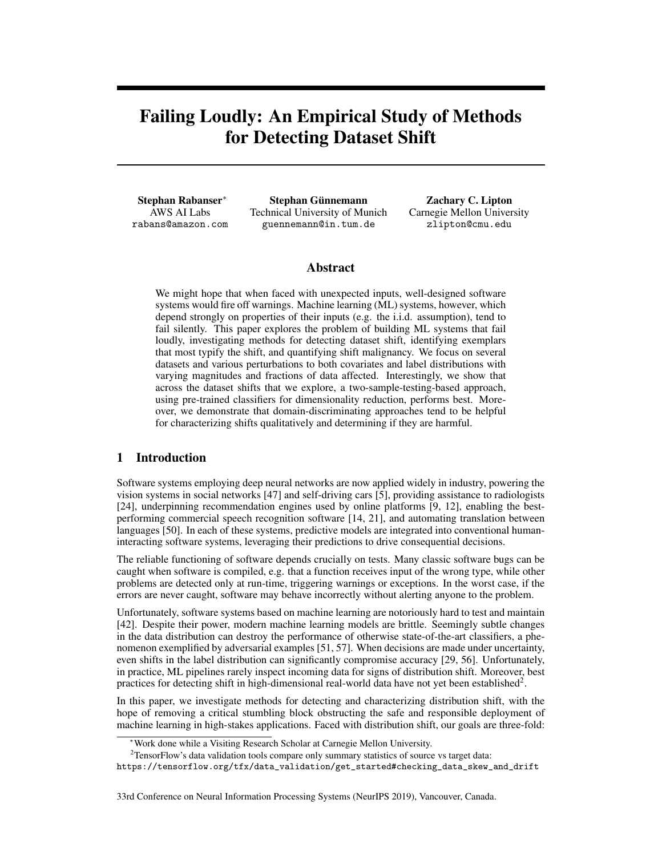# Failing Loudly: An Empirical Study of Methods for Detecting Dataset Shift

Stephan Rabanser∗ AWS AI Labs rabans@amazon.com

Stephan Günnemann Technical University of Munich guennemann@in.tum.de

Zachary C. Lipton Carnegie Mellon University zlipton@cmu.edu

## Abstract

We might hope that when faced with unexpected inputs, well-designed software systems would fire off warnings. Machine learning (ML) systems, however, which depend strongly on properties of their inputs (e.g. the i.i.d. assumption), tend to fail silently. This paper explores the problem of building ML systems that fail loudly, investigating methods for detecting dataset shift, identifying exemplars that most typify the shift, and quantifying shift malignancy. We focus on several datasets and various perturbations to both covariates and label distributions with varying magnitudes and fractions of data affected. Interestingly, we show that across the dataset shifts that we explore, a two-sample-testing-based approach, using pre-trained classifiers for dimensionality reduction, performs best. Moreover, we demonstrate that domain-discriminating approaches tend to be helpful for characterizing shifts qualitatively and determining if they are harmful.

## 1 Introduction

Software systems employing deep neural networks are now applied widely in industry, powering the vision systems in social networks [47] and self-driving cars [5], providing assistance to radiologists [24], underpinning recommendation engines used by online platforms [9, 12], enabling the bestperforming commercial speech recognition software [14, 21], and automating translation between languages [50]. In each of these systems, predictive models are integrated into conventional humaninteracting software systems, leveraging their predictions to drive consequential decisions.

The reliable functioning of software depends crucially on tests. Many classic software bugs can be caught when software is compiled, e.g. that a function receives input of the wrong type, while other problems are detected only at run-time, triggering warnings or exceptions. In the worst case, if the errors are never caught, software may behave incorrectly without alerting anyone to the problem.

Unfortunately, software systems based on machine learning are notoriously hard to test and maintain [42]. Despite their power, modern machine learning models are brittle. Seemingly subtle changes in the data distribution can destroy the performance of otherwise state-of-the-art classifiers, a phenomenon exemplified by adversarial examples [51, 57]. When decisions are made under uncertainty, even shifts in the label distribution can significantly compromise accuracy [29, 56]. Unfortunately, in practice, ML pipelines rarely inspect incoming data for signs of distribution shift. Moreover, best practices for detecting shift in high-dimensional real-world data have not yet been established<sup>2</sup>.

In this paper, we investigate methods for detecting and characterizing distribution shift, with the hope of removing a critical stumbling block obstructing the safe and responsible deployment of machine learning in high-stakes applications. Faced with distribution shift, our goals are three-fold:

<sup>∗</sup>Work done while a Visiting Research Scholar at Carnegie Mellon University.

<sup>&</sup>lt;sup>2</sup>TensorFlow's data validation tools compare only summary statistics of source vs target data:

https://tensorflow.org/tfx/data\_validation/get\_started#checking\_data\_skew\_and\_drift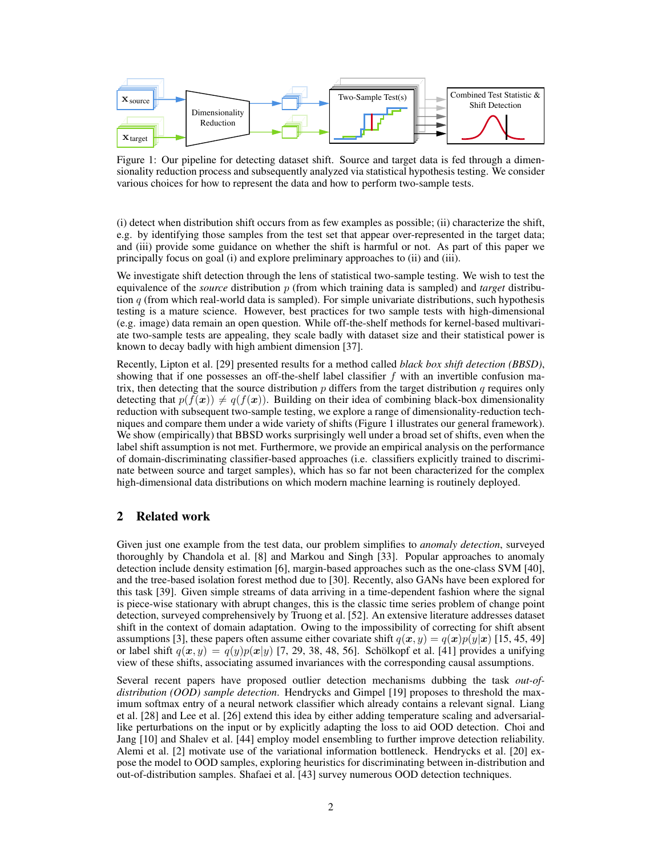

Figure 1: Our pipeline for detecting dataset shift. Source and target data is fed through a dimensionality reduction process and subsequently analyzed via statistical hypothesis testing. We consider various choices for how to represent the data and how to perform two-sample tests.

(i) detect when distribution shift occurs from as few examples as possible; (ii) characterize the shift, e.g. by identifying those samples from the test set that appear over-represented in the target data; and (iii) provide some guidance on whether the shift is harmful or not. As part of this paper we principally focus on goal (i) and explore preliminary approaches to (ii) and (iii).

We investigate shift detection through the lens of statistical two-sample testing. We wish to test the equivalence of the *source* distribution p (from which training data is sampled) and *target* distribution  $q$  (from which real-world data is sampled). For simple univariate distributions, such hypothesis testing is a mature science. However, best practices for two sample tests with high-dimensional (e.g. image) data remain an open question. While off-the-shelf methods for kernel-based multivariate two-sample tests are appealing, they scale badly with dataset size and their statistical power is known to decay badly with high ambient dimension [37].

Recently, Lipton et al. [29] presented results for a method called *black box shift detection (BBSD)*, showing that if one possesses an off-the-shelf label classifier f with an invertible confusion matrix, then detecting that the source distribution  $p$  differs from the target distribution  $q$  requires only detecting that  $p(f(x)) \neq q(f(x))$ . Building on their idea of combining black-box dimensionality reduction with subsequent two-sample testing, we explore a range of dimensionality-reduction techniques and compare them under a wide variety of shifts (Figure 1 illustrates our general framework). We show (empirically) that BBSD works surprisingly well under a broad set of shifts, even when the label shift assumption is not met. Furthermore, we provide an empirical analysis on the performance of domain-discriminating classifier-based approaches (i.e. classifiers explicitly trained to discriminate between source and target samples), which has so far not been characterized for the complex high-dimensional data distributions on which modern machine learning is routinely deployed.

## 2 Related work

Given just one example from the test data, our problem simplifies to *anomaly detection*, surveyed thoroughly by Chandola et al. [8] and Markou and Singh [33]. Popular approaches to anomaly detection include density estimation [6], margin-based approaches such as the one-class SVM [40], and the tree-based isolation forest method due to [30]. Recently, also GANs have been explored for this task [39]. Given simple streams of data arriving in a time-dependent fashion where the signal is piece-wise stationary with abrupt changes, this is the classic time series problem of change point detection, surveyed comprehensively by Truong et al. [52]. An extensive literature addresses dataset shift in the context of domain adaptation. Owing to the impossibility of correcting for shift absent assumptions [3], these papers often assume either covariate shift  $q(x, y) = q(x)p(y|x)$  [15, 45, 49] or label shift  $q(x, y) = q(y)p(x|y)$  [7, 29, 38, 48, 56]. Schölkopf et al. [41] provides a unifying view of these shifts, associating assumed invariances with the corresponding causal assumptions.

Several recent papers have proposed outlier detection mechanisms dubbing the task *out-ofdistribution (OOD) sample detection*. Hendrycks and Gimpel [19] proposes to threshold the maximum softmax entry of a neural network classifier which already contains a relevant signal. Liang et al. [28] and Lee et al. [26] extend this idea by either adding temperature scaling and adversariallike perturbations on the input or by explicitly adapting the loss to aid OOD detection. Choi and Jang [10] and Shalev et al. [44] employ model ensembling to further improve detection reliability. Alemi et al. [2] motivate use of the variational information bottleneck. Hendrycks et al. [20] expose the model to OOD samples, exploring heuristics for discriminating between in-distribution and out-of-distribution samples. Shafaei et al. [43] survey numerous OOD detection techniques.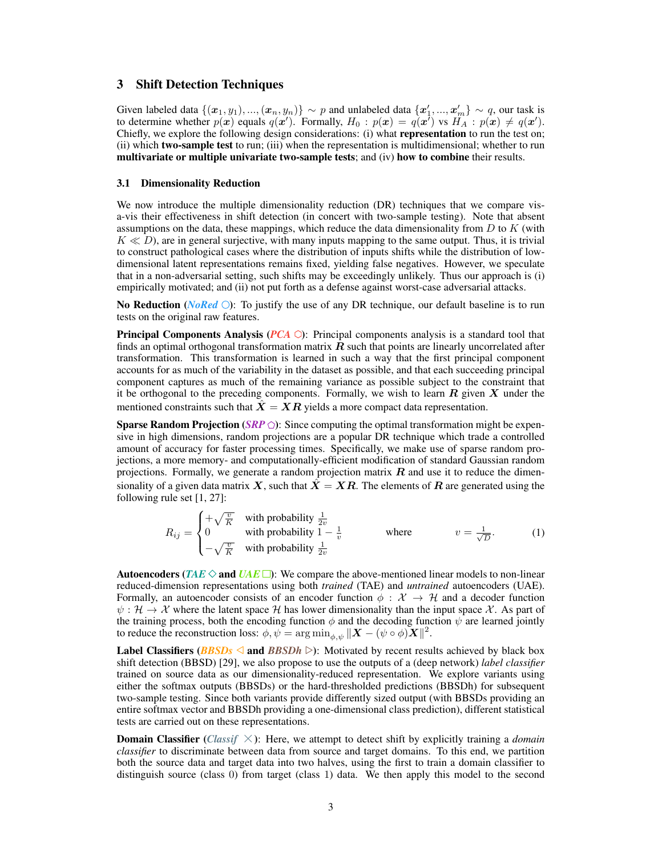## 3 Shift Detection Techniques

Given labeled data  $\{(x_1,y_1),...,(x_n,y_n)\}\sim p$  and unlabeled data  $\{x'_1,...,x'_m\}\sim q$ , our task is to determine whether  $p(x)$  equals  $q(x')$ . Formally,  $H_0: p(x) = q(x')$  vs  $H_A: p(x) \neq q(x')$ . Chiefly, we explore the following design considerations: (i) what **representation** to run the test on; (ii) which two-sample test to run; (iii) when the representation is multidimensional; whether to run multivariate or multiple univariate two-sample tests; and (iv) how to combine their results.

### 3.1 Dimensionality Reduction

We now introduce the multiple dimensionality reduction (DR) techniques that we compare visa-vis their effectiveness in shift detection (in concert with two-sample testing). Note that absent assumptions on the data, these mappings, which reduce the data dimensionality from  $D$  to  $K$  (with  $K \ll D$ ), are in general surjective, with many inputs mapping to the same output. Thus, it is trivial to construct pathological cases where the distribution of inputs shifts while the distribution of lowdimensional latent representations remains fixed, yielding false negatives. However, we speculate that in a non-adversarial setting, such shifts may be exceedingly unlikely. Thus our approach is (i) empirically motivated; and (ii) not put forth as a defense against worst-case adversarial attacks.

No Reduction (*NoRed*  $\bigcirc$ ): To justify the use of any DR technique, our default baseline is to run tests on the original raw features.

**Principal Components Analysis (** $PCA$ **):** Principal components analysis is a standard tool that finds an optimal orthogonal transformation matrix  $\bf{R}$  such that points are linearly uncorrelated after transformation. This transformation is learned in such a way that the first principal component accounts for as much of the variability in the dataset as possible, and that each succeeding principal component captures as much of the remaining variance as possible subject to the constraint that it be orthogonal to the preceding components. Formally, we wish to learn  $R$  given  $X$  under the mentioned constraints such that  $\ddot{X} = XR$  yields a more compact data representation.

**Sparse Random Projection** (*SRP*  $\odot$ ): Since computing the optimal transformation might be expensive in high dimensions, random projections are a popular DR technique which trade a controlled amount of accuracy for faster processing times. Specifically, we make use of sparse random projections, a more memory- and computationally-efficient modification of standard Gaussian random projections. Formally, we generate a random projection matrix  $\bf{R}$  and use it to reduce the dimensionality of a given data matrix X, such that  $X = XR$ . The elements of R are generated using the following rule set [1, 27]:

$$
R_{ij} = \begin{cases} +\sqrt{\frac{v}{K}} & \text{with probability } \frac{1}{2v} \\ 0 & \text{with probability } 1 - \frac{1}{v} \\ -\sqrt{\frac{v}{K}} & \text{with probability } \frac{1}{2v} \end{cases} \qquad \text{where} \qquad v = \frac{1}{\sqrt{D}}. \tag{1}
$$

Autoencoders (*TAE*  $\Diamond$  and *UAE*  $\Box$ ): We compare the above-mentioned linear models to non-linear reduced-dimension representations using both *trained* (TAE) and *untrained* autoencoders (UAE). Formally, an autoencoder consists of an encoder function  $\phi : \mathcal{X} \to \mathcal{H}$  and a decoder function  $\psi : \mathcal{H} \to \mathcal{X}$  where the latent space  $\mathcal{H}$  has lower dimensionality than the input space X. As part of the training process, both the encoding function  $\phi$  and the decoding function  $\psi$  are learned jointly to reduce the reconstruction loss:  $\phi, \psi = \arg \min_{\phi, \psi} ||\mathbf{X} - (\psi \circ \phi) \mathbf{X}||^2$ .

**Label Classifiers (***BBSDs*  $\triangle$  and *BBSDh*  $\triangleright$ ): Motivated by recent results achieved by black box shift detection (BBSD) [29], we also propose to use the outputs of a (deep network) *label classifier* trained on source data as our dimensionality-reduced representation. We explore variants using either the softmax outputs (BBSDs) or the hard-thresholded predictions (BBSDh) for subsequent two-sample testing. Since both variants provide differently sized output (with BBSDs providing an entire softmax vector and BBSDh providing a one-dimensional class prediction), different statistical tests are carried out on these representations.

**Domain Classifier** (*Classif*  $\times$ ): Here, we attempt to detect shift by explicitly training a *domain classifier* to discriminate between data from source and target domains. To this end, we partition both the source data and target data into two halves, using the first to train a domain classifier to distinguish source (class 0) from target (class 1) data. We then apply this model to the second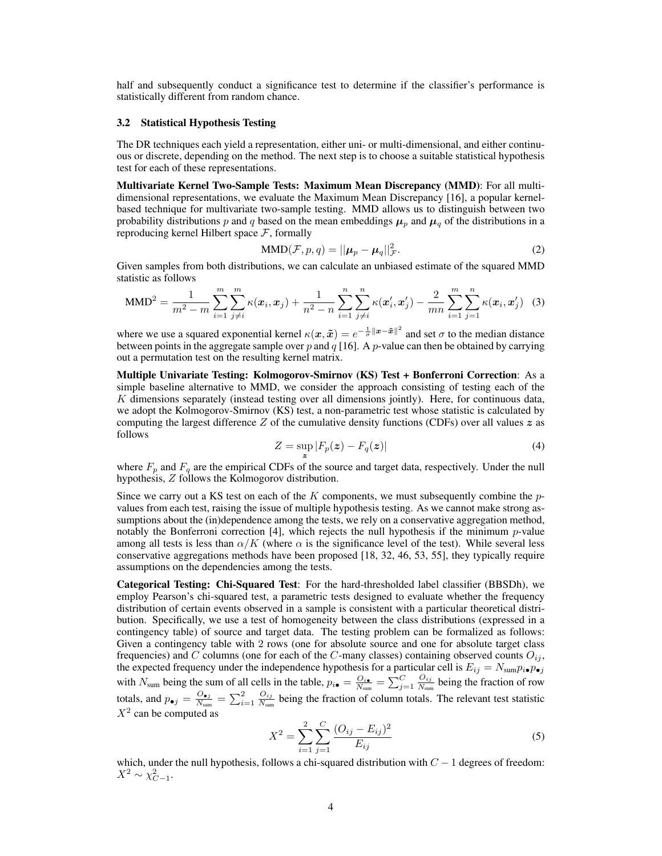half and subsequently conduct a significance test to determine if the classifier's performance is statistically different from random chance.

#### 3.2 Statistical Hypothesis Testing

The DR techniques each yield a representation, either uni- or multi-dimensional, and either continuous or discrete, depending on the method. The next step is to choose a suitable statistical hypothesis test for each of these representations.

Multivariate Kernel Two-Sample Tests: Maximum Mean Discrepancy (MMD): For all multidimensional representations, we evaluate the Maximum Mean Discrepancy [16], a popular kernelbased technique for multivariate two-sample testing. MMD allows us to distinguish between two probability distributions p and q based on the mean embeddings  $\mu_p$  and  $\mu_q$  of the distributions in a reproducing kernel Hilbert space  $F$ , formally

$$
\text{MMD}(\mathcal{F}, p, q) = ||\boldsymbol{\mu}_p - \boldsymbol{\mu}_q||^2_{\mathcal{F}}.
$$
\n(2)

Given samples from both distributions, we can calculate an unbiased estimate of the squared MMD statistic as follows

MMD<sup>2</sup> = 
$$
\frac{1}{m^2 - m} \sum_{i=1}^{m} \sum_{j \neq i}^{m} \kappa(x_i, x_j) + \frac{1}{n^2 - n} \sum_{i=1}^{n} \sum_{j \neq i}^{n} \kappa(x'_i, x'_j) - \frac{2}{mn} \sum_{i=1}^{m} \sum_{j=1}^{n} \kappa(x_i, x'_j)
$$
 (3)

where we use a squared exponential kernel  $\kappa(x, \tilde{x}) = e^{-\frac{1}{\sigma} ||x - \tilde{x}||^2}$  and set  $\sigma$  to the median distance between points in the aggregate sample over  $p$  and  $q$  [16]. A  $p$ -value can then be obtained by carrying out a permutation test on the resulting kernel matrix.

Multiple Univariate Testing: Kolmogorov-Smirnov (KS) Test + Bonferroni Correction: As a simple baseline alternative to MMD, we consider the approach consisting of testing each of the  $K$  dimensions separately (instead testing over all dimensions jointly). Here, for continuous data, we adopt the Kolmogorov-Smirnov (KS) test, a non-parametric test whose statistic is calculated by computing the largest difference  $Z$  of the cumulative density functions (CDFs) over all values  $z$  as follows

$$
Z = \sup_{\mathbf{z}} |F_p(\mathbf{z}) - F_q(\mathbf{z})| \tag{4}
$$

where  $F_p$  and  $F_q$  are the empirical CDFs of the source and target data, respectively. Under the null hypothesis, Z follows the Kolmogorov distribution.

Since we carry out a KS test on each of the  $K$  components, we must subsequently combine the  $p$ values from each test, raising the issue of multiple hypothesis testing. As we cannot make strong assumptions about the (in)dependence among the tests, we rely on a conservative aggregation method, notably the Bonferroni correction [4], which rejects the null hypothesis if the minimum  $p$ -value among all tests is less than  $\alpha/K$  (where  $\alpha$  is the significance level of the test). While several less conservative aggregations methods have been proposed [18, 32, 46, 53, 55], they typically require assumptions on the dependencies among the tests.

Categorical Testing: Chi-Squared Test: For the hard-thresholded label classifier (BBSDh), we employ Pearson's chi-squared test, a parametric tests designed to evaluate whether the frequency distribution of certain events observed in a sample is consistent with a particular theoretical distribution. Specifically, we use a test of homogeneity between the class distributions (expressed in a contingency table) of source and target data. The testing problem can be formalized as follows: Given a contingency table with 2 rows (one for absolute source and one for absolute target class frequencies) and C columns (one for each of the C-many classes) containing observed counts  $O_{ij}$ , the expected frequency under the independence hypothesis for a particular cell is  $E_{ij} = N_{\text{sum}} p_{i\bullet} p_{\bullet j}$ with  $N_{\text{sum}}$  being the sum of all cells in the table,  $p_{i\bullet} = \frac{Q_{i\bullet}}{N_{\text{sum}}} = \sum_{j=1}^{C} \frac{Q_{ij}}{N_{\text{sum}}}$  $\frac{O_{ij}}{N_{\text{sum}}}$  being the fraction of row totals, and  $p_{\bullet j} = \frac{O_{\bullet j}}{N_{\text{sun}}}$  $\frac{O_{\bullet j}}{N_{\textrm{sum}}} = \sum_{i=1}^2 \frac{O_{ij}}{N_{\textrm{sum}}}$  $\frac{O_{ij}}{N_{sum}}$  being the fraction of column totals. The relevant test statistic  $X^2$  can be computed as

$$
X^{2} = \sum_{i=1}^{2} \sum_{j=1}^{C} \frac{(O_{ij} - E_{ij})^{2}}{E_{ij}}
$$
(5)

which, under the null hypothesis, follows a chi-squared distribution with  $C - 1$  degrees of freedom:  $X^2 \sim \chi^2_{C-1}.$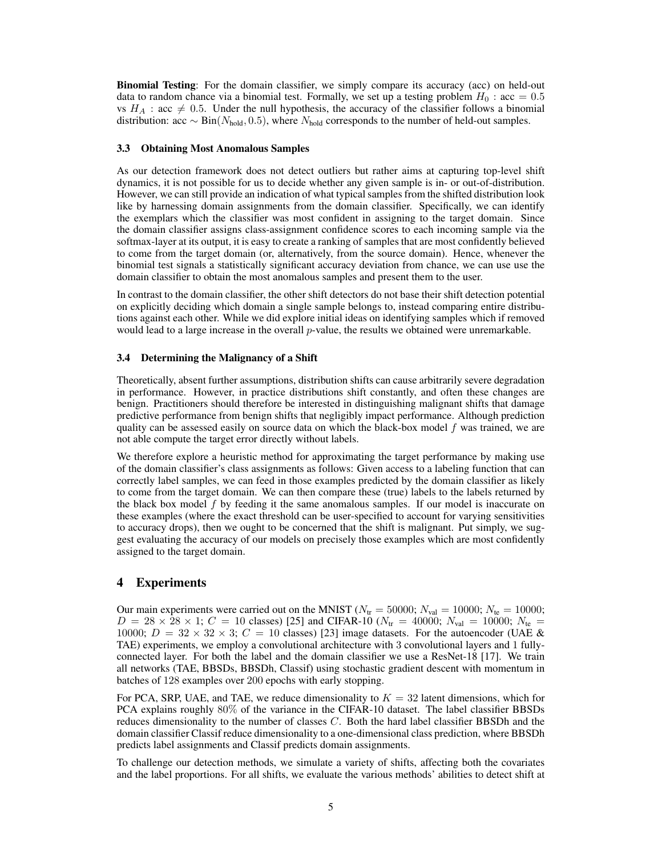Binomial Testing: For the domain classifier, we simply compare its accuracy (acc) on held-out data to random chance via a binomial test. Formally, we set up a testing problem  $H_0$ : acc = 0.5 vs  $H_A$ : acc  $\neq 0.5$ . Under the null hypothesis, the accuracy of the classifier follows a binomial distribution: acc ∼ Bin( $N_{\text{hold}}$ , 0.5), where  $N_{\text{hold}}$  corresponds to the number of held-out samples.

### 3.3 Obtaining Most Anomalous Samples

As our detection framework does not detect outliers but rather aims at capturing top-level shift dynamics, it is not possible for us to decide whether any given sample is in- or out-of-distribution. However, we can still provide an indication of what typical samples from the shifted distribution look like by harnessing domain assignments from the domain classifier. Specifically, we can identify the exemplars which the classifier was most confident in assigning to the target domain. Since the domain classifier assigns class-assignment confidence scores to each incoming sample via the softmax-layer at its output, it is easy to create a ranking of samples that are most confidently believed to come from the target domain (or, alternatively, from the source domain). Hence, whenever the binomial test signals a statistically significant accuracy deviation from chance, we can use use the domain classifier to obtain the most anomalous samples and present them to the user.

In contrast to the domain classifier, the other shift detectors do not base their shift detection potential on explicitly deciding which domain a single sample belongs to, instead comparing entire distributions against each other. While we did explore initial ideas on identifying samples which if removed would lead to a large increase in the overall *p*-value, the results we obtained were unremarkable.

### 3.4 Determining the Malignancy of a Shift

Theoretically, absent further assumptions, distribution shifts can cause arbitrarily severe degradation in performance. However, in practice distributions shift constantly, and often these changes are benign. Practitioners should therefore be interested in distinguishing malignant shifts that damage predictive performance from benign shifts that negligibly impact performance. Although prediction quality can be assessed easily on source data on which the black-box model  $f$  was trained, we are not able compute the target error directly without labels.

We therefore explore a heuristic method for approximating the target performance by making use of the domain classifier's class assignments as follows: Given access to a labeling function that can correctly label samples, we can feed in those examples predicted by the domain classifier as likely to come from the target domain. We can then compare these (true) labels to the labels returned by the black box model  $f$  by feeding it the same anomalous samples. If our model is inaccurate on these examples (where the exact threshold can be user-specified to account for varying sensitivities to accuracy drops), then we ought to be concerned that the shift is malignant. Put simply, we suggest evaluating the accuracy of our models on precisely those examples which are most confidently assigned to the target domain.

## 4 Experiments

Our main experiments were carried out on the MNIST ( $N_{\text{tr}} = 50000$ ;  $N_{\text{val}} = 10000$ ;  $N_{\text{te}} = 10000$ ;  $D = 28 \times 28 \times 1$ ;  $C = 10$  classes) [25] and CIFAR-10 ( $N_{\text{tr}} = 40000$ ;  $N_{\text{val}} = 10000$ ;  $N_{\text{te}} =$ 10000;  $D = 32 \times 32 \times 3$ ;  $C = 10$  classes) [23] image datasets. For the autoencoder (UAE & TAE) experiments, we employ a convolutional architecture with 3 convolutional layers and 1 fullyconnected layer. For both the label and the domain classifier we use a ResNet-18 [17]. We train all networks (TAE, BBSDs, BBSDh, Classif) using stochastic gradient descent with momentum in batches of 128 examples over 200 epochs with early stopping.

For PCA, SRP, UAE, and TAE, we reduce dimensionality to  $K = 32$  latent dimensions, which for PCA explains roughly 80% of the variance in the CIFAR-10 dataset. The label classifier BBSDs reduces dimensionality to the number of classes C. Both the hard label classifier BBSDh and the domain classifier Classif reduce dimensionality to a one-dimensional class prediction, where BBSDh predicts label assignments and Classif predicts domain assignments.

To challenge our detection methods, we simulate a variety of shifts, affecting both the covariates and the label proportions. For all shifts, we evaluate the various methods' abilities to detect shift at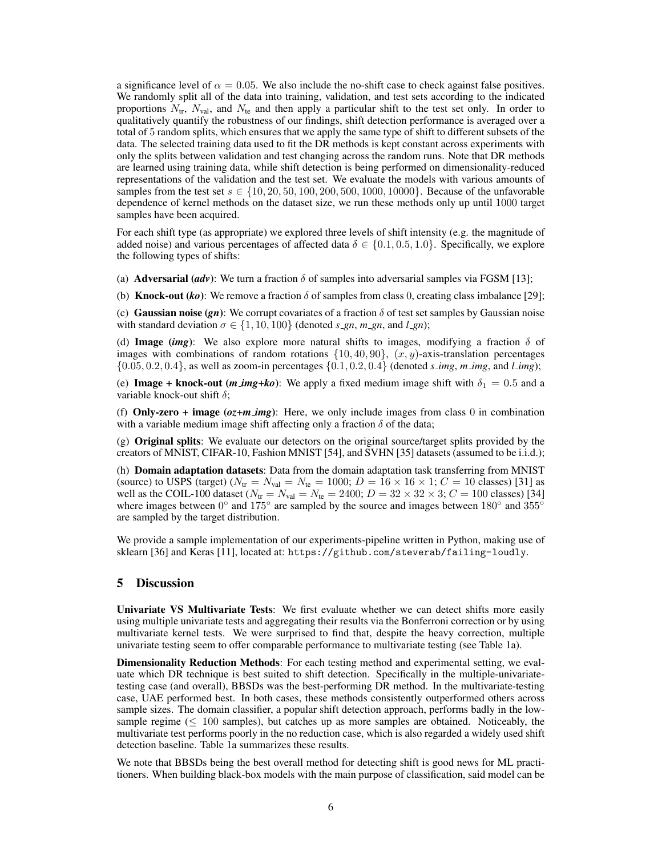a significance level of  $\alpha = 0.05$ . We also include the no-shift case to check against false positives. We randomly split all of the data into training, validation, and test sets according to the indicated proportions  $N_{tr}$ ,  $N_{val}$ , and  $N_{te}$  and then apply a particular shift to the test set only. In order to qualitatively quantify the robustness of our findings, shift detection performance is averaged over a total of 5 random splits, which ensures that we apply the same type of shift to different subsets of the data. The selected training data used to fit the DR methods is kept constant across experiments with only the splits between validation and test changing across the random runs. Note that DR methods are learned using training data, while shift detection is being performed on dimensionality-reduced representations of the validation and the test set. We evaluate the models with various amounts of samples from the test set  $s \in \{10, 20, 50, 100, 200, 500, 1000, 10000\}$ . Because of the unfavorable dependence of kernel methods on the dataset size, we run these methods only up until 1000 target samples have been acquired.

For each shift type (as appropriate) we explored three levels of shift intensity (e.g. the magnitude of added noise) and various percentages of affected data  $\delta \in \{0.1, 0.5, 1.0\}$ . Specifically, we explore the following types of shifts:

(a) **Adversarial (***adv***)**: We turn a fraction  $\delta$  of samples into adversarial samples via FGSM [13];

(b) **Knock-out** (*ko*): We remove a fraction  $\delta$  of samples from class 0, creating class imbalance [29];

(c) **Gaussian noise (gn)**: We corrupt covariates of a fraction  $\delta$  of test set samples by Gaussian noise with standard deviation  $\sigma \in \{1, 10, 100\}$  (denoted *s\_gn*, *m\_gn*, and *l\_gn*);

(d) **Image** (*img*): We also explore more natural shifts to images, modifying a fraction  $\delta$  of images with combinations of random rotations  $\{10, 40, 90\}$ ,  $(x, y)$ -axis-translation percentages  $\{0.05, 0.2, 0.4\}$ , as well as zoom-in percentages  $\{0.1, 0.2, 0.4\}$  (denoted *s\_img*, *m\_img*, and *l\_img*);

(e) **Image + knock-out** (*m img+ko*): We apply a fixed medium image shift with  $\delta_1 = 0.5$  and a variable knock-out shift  $\delta$ ;

(f) **Only-zero + image**  $(oz+m\textit{img})$ : Here, we only include images from class 0 in combination with a variable medium image shift affecting only a fraction  $\delta$  of the data;

(g) **Original splits**: We evaluate our detectors on the original source/target splits provided by the creators of MNIST, CIFAR-10, Fashion MNIST [54], and SVHN [35] datasets (assumed to be i.i.d.);

(h) Domain adaptation datasets: Data from the domain adaptation task transferring from MNIST (source) to USPS (target)  $(N_{tr} = N_{val} = N_{te} = 1000; D = 16 \times 16 \times 1; C = 10$  classes) [31] as well as the COIL-100 dataset ( $N_{\text{tr}} = N_{\text{val}} = N_{\text{te}} = 2400; D = 32 \times 32 \times 3; C = 100$  classes) [34] where images between  $0^{\circ}$  and  $175^{\circ}$  are sampled by the source and images between  $180^{\circ}$  and  $355^{\circ}$ are sampled by the target distribution.

We provide a sample implementation of our experiments-pipeline written in Python, making use of sklearn [36] and Keras [11], located at: https://github.com/steverab/failing-loudly.

## 5 Discussion

Univariate VS Multivariate Tests: We first evaluate whether we can detect shifts more easily using multiple univariate tests and aggregating their results via the Bonferroni correction or by using multivariate kernel tests. We were surprised to find that, despite the heavy correction, multiple univariate testing seem to offer comparable performance to multivariate testing (see Table 1a).

Dimensionality Reduction Methods: For each testing method and experimental setting, we evaluate which DR technique is best suited to shift detection. Specifically in the multiple-univariatetesting case (and overall), BBSDs was the best-performing DR method. In the multivariate-testing case, UAE performed best. In both cases, these methods consistently outperformed others across sample sizes. The domain classifier, a popular shift detection approach, performs badly in the lowsample regime ( $\leq 100$  samples), but catches up as more samples are obtained. Noticeably, the multivariate test performs poorly in the no reduction case, which is also regarded a widely used shift detection baseline. Table 1a summarizes these results.

We note that BBSDs being the best overall method for detecting shift is good news for ML practitioners. When building black-box models with the main purpose of classification, said model can be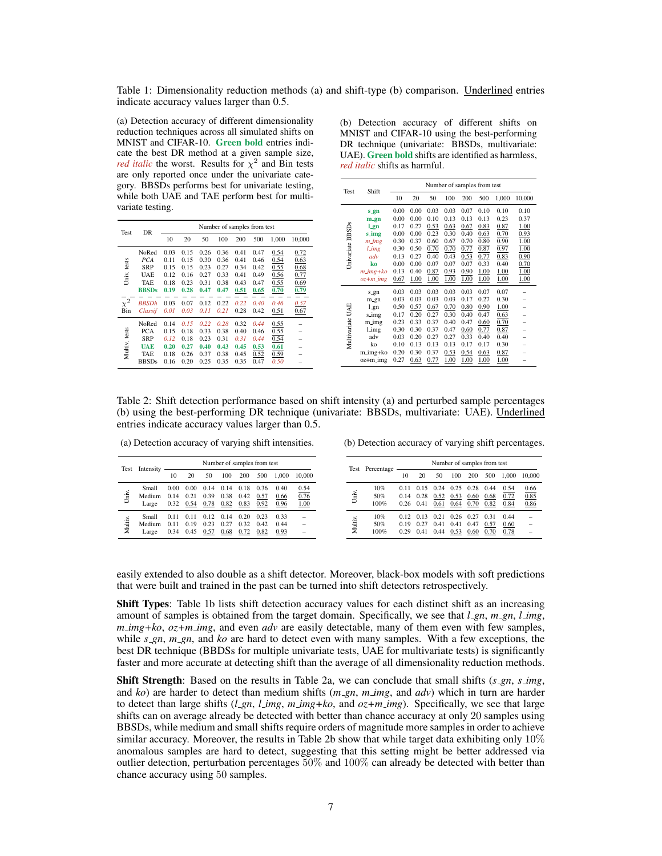Table 1: Dimensionality reduction methods (a) and shift-type (b) comparison. Underlined entries indicate accuracy values larger than 0.5.

(a) Detection accuracy of different dimensionality reduction techniques across all simulated shifts on MNIST and CIFAR-10. Green bold entries indicate the best DR method at a given sample size, *red italic* the worst. Results for  $\chi^2$  and Bin tests are only reported once under the univariate category. BBSDs performs best for univariate testing, while both UAE and TAE perform best for multi-

(b) Detection accuracy of different shifts on MNIST and CIFAR-10 using the best-performing DR technique (univariate: BBSDs, multivariate: UAE). Green bold shifts are identified as harmless, *red italic* shifts as harmful.

| Test          | DR           | Number of samples from test |      |      |      |      |      |       |                                                                        |  |  |
|---------------|--------------|-----------------------------|------|------|------|------|------|-------|------------------------------------------------------------------------|--|--|
|               |              | 10                          | 20   | 50   | 100  | 200  | 500  | 1,000 | 10,000<br>0.72<br>0.63<br>0.68<br>0.77<br>0.69<br>0.79<br>0.57<br>0.67 |  |  |
|               | NoRed        | 0.03                        | 0.15 | 0.26 | 0.36 | 0.41 | 0.47 | 0.54  |                                                                        |  |  |
|               | <b>PCA</b>   | 0.11                        | 0.15 | 0.30 | 0.36 | 0.41 | 0.46 | 0.54  |                                                                        |  |  |
|               | <b>SRP</b>   | 0.15                        | 0.15 | 0.23 | 0.27 | 0.34 | 0.42 | 0.55  |                                                                        |  |  |
| Univ. tests   | <b>UAE</b>   | 0.12                        | 0.16 | 0.27 | 0.33 | 0.41 | 0.49 | 0.56  |                                                                        |  |  |
|               | TAE          | 0.18                        | 0.23 | 0.31 | 0.38 | 0.43 | 0.47 | 0.55  |                                                                        |  |  |
|               | <b>BBSDs</b> | 0.19                        | 0.28 | 0.47 | 0.47 | 0.51 | 0.65 | 0.70  |                                                                        |  |  |
| $\chi^2$      | <b>BBSDh</b> | 0.03                        | 0.07 | 0.12 | 0.22 | 0.22 | 0.40 | 0.46  |                                                                        |  |  |
| Bin           | Classif      | 0.01                        | 0.03 | 0.11 | 0.21 | 0.28 | 0.42 | 0.51  |                                                                        |  |  |
|               | NoRed        | 0.14                        | 0.15 | 0.22 | 0.28 | 0.32 | 0.44 | 0.55  |                                                                        |  |  |
| Multiv. tests | <b>PCA</b>   | 0.15                        | 0.18 | 0.33 | 0.38 | 0.40 | 0.46 | 0.55  |                                                                        |  |  |
|               | SRP          | 0.12                        | 0.18 | 0.23 | 0.31 | 0.31 | 0.44 | 0.54  |                                                                        |  |  |
|               | UAE          | 0.20                        | 0.27 | 0.40 | 0.43 | 0.45 | 0.53 | 0.61  |                                                                        |  |  |
|               | <b>TAE</b>   | 0.18                        | 0.26 | 0.37 | 0.38 | 0.45 | 0.52 | 0.59  |                                                                        |  |  |
|               | <b>BBSDs</b> | 0.16                        | 0.20 | 0.25 | 0.35 | 0.35 | 0.47 | 0.50  |                                                                        |  |  |

| Test             | Shift               | Number of samples from test |      |      |      |      |      |       |        |  |
|------------------|---------------------|-----------------------------|------|------|------|------|------|-------|--------|--|
|                  |                     | 10                          | 20   | 50   | 100  | 200  | 500  | 1,000 | 10,000 |  |
|                  | s_gn                | 0.00                        | 0.00 | 0.03 | 0.03 | 0.07 | 0.10 | 0.10  | 0.10   |  |
|                  | m_gn                | 0.00                        | 0.00 | 0.10 | 0.13 | 0.13 | 0.13 | 0.23  | 0.37   |  |
|                  | 1.gn                | 0.17                        | 0.27 | 0.53 | 0.63 | 0.67 | 0.83 | 0.87  | 1.00   |  |
|                  | s_img               | 0.00                        | 0.00 | 0.23 | 0.30 | 0.40 | 0.63 | 0.70  | 0.93   |  |
|                  | m_img               | 0.30                        | 0.37 | 0.60 | 0.67 | 0.70 | 0.80 | 0.90  | 1.00   |  |
| Univariate BBSDs | $l$ <sub>-img</sub> | 0.30                        | 0.50 | 0.70 | 0.70 | 0.77 | 0.87 | 0.97  | 1.00   |  |
|                  | adv                 | 0.13                        | 0.27 | 0.40 | 0.43 | 0.53 | 0.77 | 0.83  | 0.90   |  |
|                  | ko                  | 0.00                        | 0.00 | 0.07 | 0.07 | 0.07 | 0.33 | 0.40  | 0.70   |  |
|                  | $m\_img + ko$       | 0.13                        | 0.40 | 0.87 | 0.93 | 0.90 | 1.00 | 1.00  | 1.00   |  |
|                  | $oz+m\_img$         | 0.67                        | 1.00 | 1.00 | 1.00 | 1.00 | 1.00 | 1.00  | 1.00   |  |
|                  | s_gn                | 0.03                        | 0.03 | 0.03 | 0.03 | 0.03 | 0.07 | 0.07  |        |  |
|                  | m_gn                | 0.03                        | 0.03 | 0.03 | 0.03 | 0.17 | 0.27 | 0.30  |        |  |
|                  | l_gn                | 0.50                        | 0.57 | 0.67 | 0.70 | 0.80 | 0.90 | 1.00  |        |  |
|                  | s_img               | 0.17                        | 0.20 | 0.27 | 0.30 | 0.40 | 0.47 | 0.63  |        |  |
| Multivariate UAE | m_img               | 0.23                        | 0.33 | 0.37 | 0.40 | 0.47 | 0.60 | 0.70  |        |  |
|                  | Limg                | 0.30                        | 0.30 | 0.37 | 0.47 | 0.60 | 0.77 | 0.87  |        |  |
|                  | adv                 | 0.03                        | 0.20 | 0.27 | 0.27 | 0.33 | 0.40 | 0.40  |        |  |
|                  | ko                  | 0.10                        | 0.13 | 0.13 | 0.13 | 0.17 | 0.17 | 0.30  |        |  |
|                  | m_img+ko            | 0.20                        | 0.30 | 0.37 | 0.53 | 0.54 | 0.63 | 0.87  |        |  |
|                  | oz+m_img            | 0.27                        | 0.63 | 0.77 | 1.00 | 1.00 | 1.00 | 1.00  |        |  |

Table 2: Shift detection performance based on shift intensity (a) and perturbed sample percentages (b) using the best-performing DR technique (univariate: BBSDs, multivariate: UAE). Underlined entries indicate accuracy values larger than 0.5.

(a) Detection accuracy of varying shift intensities. Number of samples from test

| Test    | Intensity                | Number of samples from test |                      |                      |                      |                      |                      |                      |                      |  |  |
|---------|--------------------------|-----------------------------|----------------------|----------------------|----------------------|----------------------|----------------------|----------------------|----------------------|--|--|
|         |                          | 10                          | 20                   | 50                   | 100                  | 200                  | 500                  | 1.000                | 10.000               |  |  |
| Univ.   | Small<br>Medium<br>Large | 0.00<br>0.14<br>0.32        | 0.00<br>0.21<br>0.54 | 0.14<br>0.39<br>0.78 | 0.14<br>0.38<br>0.82 | 0.18<br>0.42<br>0.83 | 0.36<br>0.57<br>0.92 | 0.40<br>0.66<br>0.96 | 0.54<br>0.76<br>1.00 |  |  |
| Multiv. | Small<br>Medium<br>Large | 0.11<br>0.11<br>0.34        | 0.11<br>0.19<br>0.45 | 0.12<br>0.23<br>0.57 | 0.14<br>0.27<br>0.68 | 0.20<br>0.32<br>0.72 | 0.23<br>0.42<br>0.82 | 0.33<br>0.44<br>0.93 |                      |  |  |

(b) Detection accuracy of varying shift percentages.

| Test    | Percentage         | Number of samples from test |                      |                      |                      |                      |                      |                      |                      |  |
|---------|--------------------|-----------------------------|----------------------|----------------------|----------------------|----------------------|----------------------|----------------------|----------------------|--|
|         |                    | 10                          | 20                   | 50                   | 100                  | 200                  | 500                  | 1.000                | 10,000               |  |
| Univ.   | 10%<br>50%<br>100% | 011<br>0.14<br>0.26         | 0.15<br>0.28<br>0.41 | 0.24<br>0.52<br>0.61 | 0.25<br>0.53<br>0.64 | 0.28<br>0.60<br>0.70 | 0.44<br>0.68<br>0.82 | 0.54<br>0.72<br>0.84 | 0.66<br>0.85<br>0.86 |  |
| Multiv. | 10%<br>50%<br>100% | 012<br>0.19<br>0.29         | 0.13<br>0.27<br>0.41 | 0.21<br>0.41<br>0.44 | 0.26<br>0.41<br>0.53 | 0.27<br>0.47<br>0.60 | 0.31<br>0.57<br>0.70 | 0.44<br>0.60<br>0.78 |                      |  |

easily extended to also double as a shift detector. Moreover, black-box models with soft predictions that were built and trained in the past can be turned into shift detectors retrospectively.

Shift Types: Table 1b lists shift detection accuracy values for each distinct shift as an increasing amount of samples is obtained from the target domain. Specifically, we see that *l\_gn*, *m\_gn*, *l\_img*, *m img+ko*, *oz+m img*, and even *adv* are easily detectable, many of them even with few samples, while *s*<sub>-gn</sub>, *m*<sub>-gn</sub>, and *ko* are hard to detect even with many samples. With a few exceptions, the best DR technique (BBDSs for multiple univariate tests, UAE for multivariate tests) is significantly faster and more accurate at detecting shift than the average of all dimensionality reduction methods.

Shift Strength: Based on the results in Table 2a, we can conclude that small shifts (*s gn*, *s img*, and *ko*) are harder to detect than medium shifts (*m\_gn*, *m\_img*, and *adv*) which in turn are harder to detect than large shifts (*l gn*, *l img*, *m img+ko*, and *oz+m img*). Specifically, we see that large shifts can on average already be detected with better than chance accuracy at only 20 samples using BBSDs, while medium and small shifts require orders of magnitude more samples in order to achieve similar accuracy. Moreover, the results in Table 2b show that while target data exhibiting only  $10\%$ anomalous samples are hard to detect, suggesting that this setting might be better addressed via outlier detection, perturbation percentages  $50\%$  and  $100\%$  can already be detected with better than chance accuracy using 50 samples.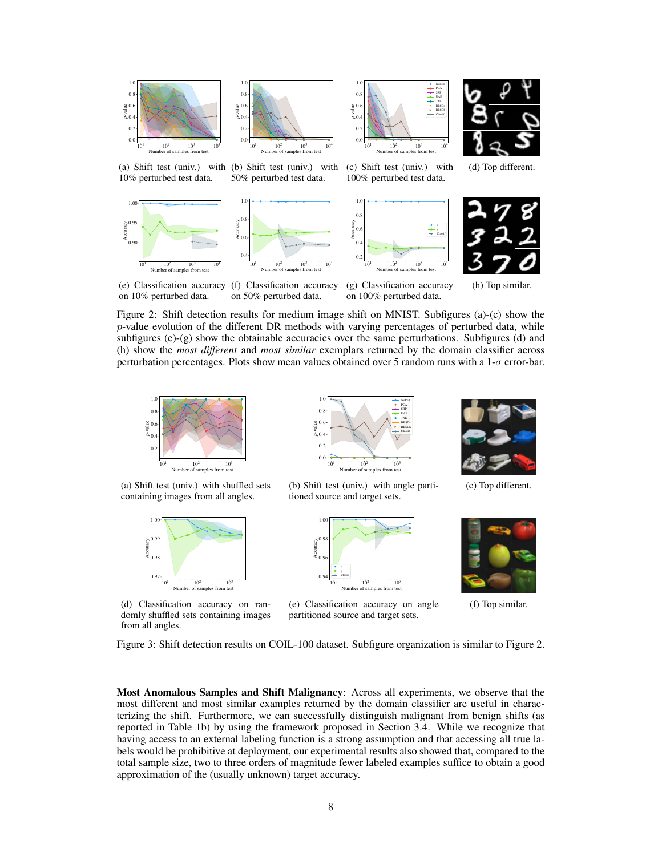



10  $\frac{1}{10}$  10  $^{2}$  10  $3 \t 10$ Number of samples from test 0.0 0.2 0.4 0.6 0.8 1.0 *p*-value NoRed PCA SRP UAE TAE BBSDs BBSDh Classif

(c) Shift test (univ.) with 100% perturbed test data.



(a) Shift test (univ.) with (b) Shift test (univ.) with 10% perturbed test data. 50% perturbed test data.







(g) Classification accuracy

4

*q* Classif

÷



(h) Top similar.

(e) Classification accuracy (f) Classification accuracy on 10% perturbed data. on 50% perturbed data.

on 100% perturbed data.

Figure 2: Shift detection results for medium image shift on MNIST. Subfigures (a)-(c) show the p-value evolution of the different DR methods with varying percentages of perturbed data, while subfigures (e)-(g) show the obtainable accuracies over the same perturbations. Subfigures (d) and (h) show the *most different* and *most similar* exemplars returned by the domain classifier across perturbation percentages. Plots show mean values obtained over 5 random runs with a 1-σ error-bar.

4



(a) Shift test (univ.) with shuffled sets containing images from all angles.



(d) Classification accuracy on randomly shuffled sets containing images from all angles.



0.4 0.6 Accuracy  $0.8$ 1.0

(b) Shift test (univ.) with angle partitioned source and target sets.



(e) Classification accuracy on angle partitioned source and target sets.



(c) Top different.



(f) Top similar.

Figure 3: Shift detection results on COIL-100 dataset. Subfigure organization is similar to Figure 2.

Most Anomalous Samples and Shift Malignancy: Across all experiments, we observe that the most different and most similar examples returned by the domain classifier are useful in characterizing the shift. Furthermore, we can successfully distinguish malignant from benign shifts (as reported in Table 1b) by using the framework proposed in Section 3.4. While we recognize that having access to an external labeling function is a strong assumption and that accessing all true labels would be prohibitive at deployment, our experimental results also showed that, compared to the total sample size, two to three orders of magnitude fewer labeled examples suffice to obtain a good approximation of the (usually unknown) target accuracy.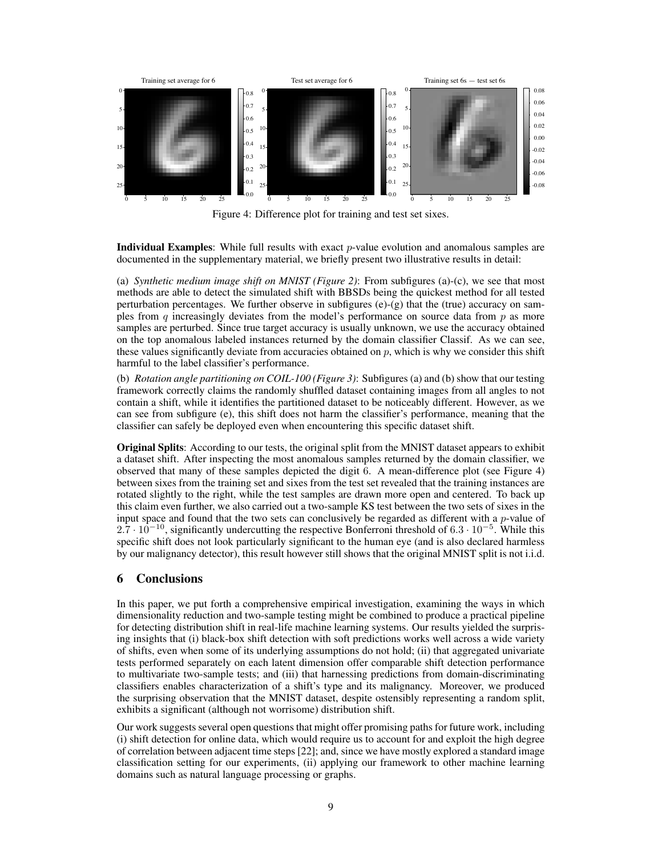

Figure 4: Difference plot for training and test set sixes.

**Individual Examples:** While full results with exact  $p$ -value evolution and anomalous samples are documented in the supplementary material, we briefly present two illustrative results in detail:

(a) *Synthetic medium image shift on MNIST (Figure 2)*: From subfigures (a)-(c), we see that most methods are able to detect the simulated shift with BBSDs being the quickest method for all tested perturbation percentages. We further observe in subfigures (e)-(g) that the (true) accuracy on samples from q increasingly deviates from the model's performance on source data from  $p$  as more samples are perturbed. Since true target accuracy is usually unknown, we use the accuracy obtained on the top anomalous labeled instances returned by the domain classifier Classif. As we can see, these values significantly deviate from accuracies obtained on  $p$ , which is why we consider this shift harmful to the label classifier's performance.

(b) *Rotation angle partitioning on COIL-100 (Figure 3)*: Subfigures (a) and (b) show that our testing framework correctly claims the randomly shuffled dataset containing images from all angles to not contain a shift, while it identifies the partitioned dataset to be noticeably different. However, as we can see from subfigure (e), this shift does not harm the classifier's performance, meaning that the classifier can safely be deployed even when encountering this specific dataset shift.

Original Splits: According to our tests, the original split from the MNIST dataset appears to exhibit a dataset shift. After inspecting the most anomalous samples returned by the domain classifier, we observed that many of these samples depicted the digit 6. A mean-difference plot (see Figure 4) between sixes from the training set and sixes from the test set revealed that the training instances are rotated slightly to the right, while the test samples are drawn more open and centered. To back up this claim even further, we also carried out a two-sample KS test between the two sets of sixes in the input space and found that the two sets can conclusively be regarded as different with a *p*-value of  $2.7 \cdot 10^{-10}$ , significantly undercutting the respective Bonferroni threshold of 6.3 · 10<sup>-5</sup>. While this specific shift does not look particularly significant to the human eye (and is also declared harmless by our malignancy detector), this result however still shows that the original MNIST split is not i.i.d.

## 6 Conclusions

In this paper, we put forth a comprehensive empirical investigation, examining the ways in which dimensionality reduction and two-sample testing might be combined to produce a practical pipeline for detecting distribution shift in real-life machine learning systems. Our results yielded the surprising insights that (i) black-box shift detection with soft predictions works well across a wide variety of shifts, even when some of its underlying assumptions do not hold; (ii) that aggregated univariate tests performed separately on each latent dimension offer comparable shift detection performance to multivariate two-sample tests; and (iii) that harnessing predictions from domain-discriminating classifiers enables characterization of a shift's type and its malignancy. Moreover, we produced the surprising observation that the MNIST dataset, despite ostensibly representing a random split, exhibits a significant (although not worrisome) distribution shift.

Our work suggests several open questions that might offer promising paths for future work, including (i) shift detection for online data, which would require us to account for and exploit the high degree of correlation between adjacent time steps [22]; and, since we have mostly explored a standard image classification setting for our experiments, (ii) applying our framework to other machine learning domains such as natural language processing or graphs.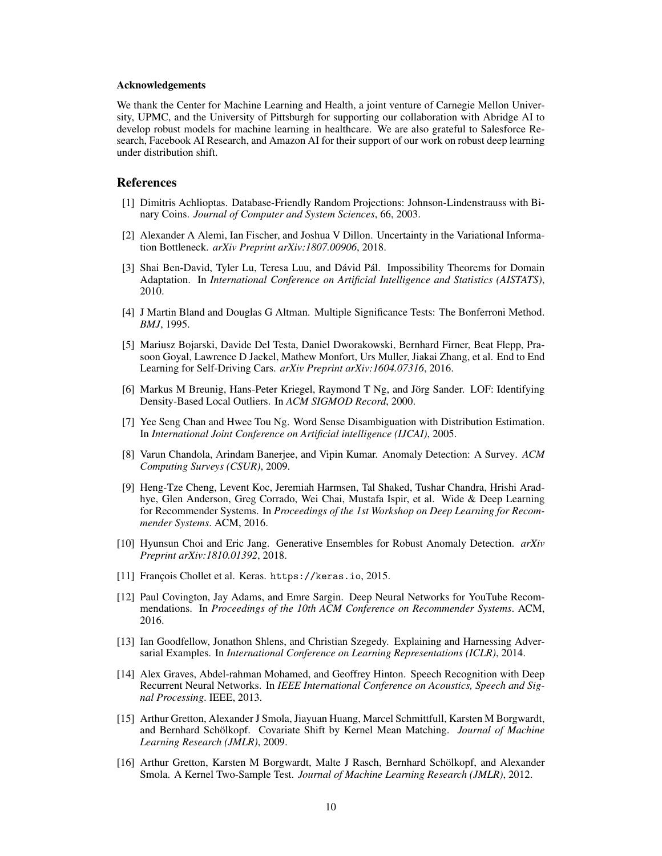#### Acknowledgements

We thank the Center for Machine Learning and Health, a joint venture of Carnegie Mellon University, UPMC, and the University of Pittsburgh for supporting our collaboration with Abridge AI to develop robust models for machine learning in healthcare. We are also grateful to Salesforce Research, Facebook AI Research, and Amazon AI for their support of our work on robust deep learning under distribution shift.

## References

- [1] Dimitris Achlioptas. Database-Friendly Random Projections: Johnson-Lindenstrauss with Binary Coins. *Journal of Computer and System Sciences*, 66, 2003.
- [2] Alexander A Alemi, Ian Fischer, and Joshua V Dillon. Uncertainty in the Variational Information Bottleneck. *arXiv Preprint arXiv:1807.00906*, 2018.
- [3] Shai Ben-David, Tyler Lu, Teresa Luu, and Dávid Pál. Impossibility Theorems for Domain Adaptation. In *International Conference on Artificial Intelligence and Statistics (AISTATS)*, 2010.
- [4] J Martin Bland and Douglas G Altman. Multiple Significance Tests: The Bonferroni Method. *BMJ*, 1995.
- [5] Mariusz Bojarski, Davide Del Testa, Daniel Dworakowski, Bernhard Firner, Beat Flepp, Prasoon Goyal, Lawrence D Jackel, Mathew Monfort, Urs Muller, Jiakai Zhang, et al. End to End Learning for Self-Driving Cars. *arXiv Preprint arXiv:1604.07316*, 2016.
- [6] Markus M Breunig, Hans-Peter Kriegel, Raymond T Ng, and Jörg Sander. LOF: Identifying Density-Based Local Outliers. In *ACM SIGMOD Record*, 2000.
- [7] Yee Seng Chan and Hwee Tou Ng. Word Sense Disambiguation with Distribution Estimation. In *International Joint Conference on Artificial intelligence (IJCAI)*, 2005.
- [8] Varun Chandola, Arindam Banerjee, and Vipin Kumar. Anomaly Detection: A Survey. *ACM Computing Surveys (CSUR)*, 2009.
- [9] Heng-Tze Cheng, Levent Koc, Jeremiah Harmsen, Tal Shaked, Tushar Chandra, Hrishi Aradhye, Glen Anderson, Greg Corrado, Wei Chai, Mustafa Ispir, et al. Wide & Deep Learning for Recommender Systems. In *Proceedings of the 1st Workshop on Deep Learning for Recommender Systems*. ACM, 2016.
- [10] Hyunsun Choi and Eric Jang. Generative Ensembles for Robust Anomaly Detection. *arXiv Preprint arXiv:1810.01392*, 2018.
- [11] François Chollet et al. Keras. https://keras.io, 2015.
- [12] Paul Covington, Jay Adams, and Emre Sargin. Deep Neural Networks for YouTube Recommendations. In *Proceedings of the 10th ACM Conference on Recommender Systems*. ACM, 2016.
- [13] Ian Goodfellow, Jonathon Shlens, and Christian Szegedy. Explaining and Harnessing Adversarial Examples. In *International Conference on Learning Representations (ICLR)*, 2014.
- [14] Alex Graves, Abdel-rahman Mohamed, and Geoffrey Hinton. Speech Recognition with Deep Recurrent Neural Networks. In *IEEE International Conference on Acoustics, Speech and Signal Processing*. IEEE, 2013.
- [15] Arthur Gretton, Alexander J Smola, Jiayuan Huang, Marcel Schmittfull, Karsten M Borgwardt, and Bernhard Schölkopf. Covariate Shift by Kernel Mean Matching. *Journal of Machine Learning Research (JMLR)*, 2009.
- [16] Arthur Gretton, Karsten M Borgwardt, Malte J Rasch, Bernhard Scholkopf, and Alexander ¨ Smola. A Kernel Two-Sample Test. *Journal of Machine Learning Research (JMLR)*, 2012.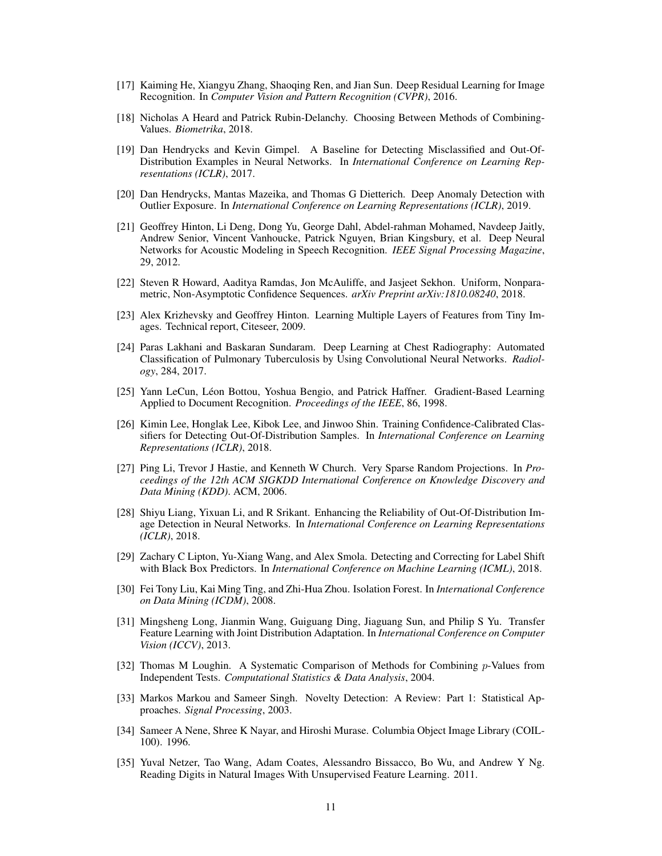- [17] Kaiming He, Xiangyu Zhang, Shaoqing Ren, and Jian Sun. Deep Residual Learning for Image Recognition. In *Computer Vision and Pattern Recognition (CVPR)*, 2016.
- [18] Nicholas A Heard and Patrick Rubin-Delanchy. Choosing Between Methods of Combining-Values. *Biometrika*, 2018.
- [19] Dan Hendrycks and Kevin Gimpel. A Baseline for Detecting Misclassified and Out-Of-Distribution Examples in Neural Networks. In *International Conference on Learning Representations (ICLR)*, 2017.
- [20] Dan Hendrycks, Mantas Mazeika, and Thomas G Dietterich. Deep Anomaly Detection with Outlier Exposure. In *International Conference on Learning Representations (ICLR)*, 2019.
- [21] Geoffrey Hinton, Li Deng, Dong Yu, George Dahl, Abdel-rahman Mohamed, Navdeep Jaitly, Andrew Senior, Vincent Vanhoucke, Patrick Nguyen, Brian Kingsbury, et al. Deep Neural Networks for Acoustic Modeling in Speech Recognition. *IEEE Signal Processing Magazine*, 29, 2012.
- [22] Steven R Howard, Aaditya Ramdas, Jon McAuliffe, and Jasjeet Sekhon. Uniform, Nonparametric, Non-Asymptotic Confidence Sequences. *arXiv Preprint arXiv:1810.08240*, 2018.
- [23] Alex Krizhevsky and Geoffrey Hinton. Learning Multiple Layers of Features from Tiny Images. Technical report, Citeseer, 2009.
- [24] Paras Lakhani and Baskaran Sundaram. Deep Learning at Chest Radiography: Automated Classification of Pulmonary Tuberculosis by Using Convolutional Neural Networks. *Radiology*, 284, 2017.
- [25] Yann LeCun, Léon Bottou, Yoshua Bengio, and Patrick Haffner. Gradient-Based Learning Applied to Document Recognition. *Proceedings of the IEEE*, 86, 1998.
- [26] Kimin Lee, Honglak Lee, Kibok Lee, and Jinwoo Shin. Training Confidence-Calibrated Classifiers for Detecting Out-Of-Distribution Samples. In *International Conference on Learning Representations (ICLR)*, 2018.
- [27] Ping Li, Trevor J Hastie, and Kenneth W Church. Very Sparse Random Projections. In *Proceedings of the 12th ACM SIGKDD International Conference on Knowledge Discovery and Data Mining (KDD)*. ACM, 2006.
- [28] Shiyu Liang, Yixuan Li, and R Srikant. Enhancing the Reliability of Out-Of-Distribution Image Detection in Neural Networks. In *International Conference on Learning Representations (ICLR)*, 2018.
- [29] Zachary C Lipton, Yu-Xiang Wang, and Alex Smola. Detecting and Correcting for Label Shift with Black Box Predictors. In *International Conference on Machine Learning (ICML)*, 2018.
- [30] Fei Tony Liu, Kai Ming Ting, and Zhi-Hua Zhou. Isolation Forest. In *International Conference on Data Mining (ICDM)*, 2008.
- [31] Mingsheng Long, Jianmin Wang, Guiguang Ding, Jiaguang Sun, and Philip S Yu. Transfer Feature Learning with Joint Distribution Adaptation. In *International Conference on Computer Vision (ICCV)*, 2013.
- [32] Thomas M Loughin. A Systematic Comparison of Methods for Combining p-Values from Independent Tests. *Computational Statistics & Data Analysis*, 2004.
- [33] Markos Markou and Sameer Singh. Novelty Detection: A Review: Part 1: Statistical Approaches. *Signal Processing*, 2003.
- [34] Sameer A Nene, Shree K Nayar, and Hiroshi Murase. Columbia Object Image Library (COIL-100). 1996.
- [35] Yuval Netzer, Tao Wang, Adam Coates, Alessandro Bissacco, Bo Wu, and Andrew Y Ng. Reading Digits in Natural Images With Unsupervised Feature Learning. 2011.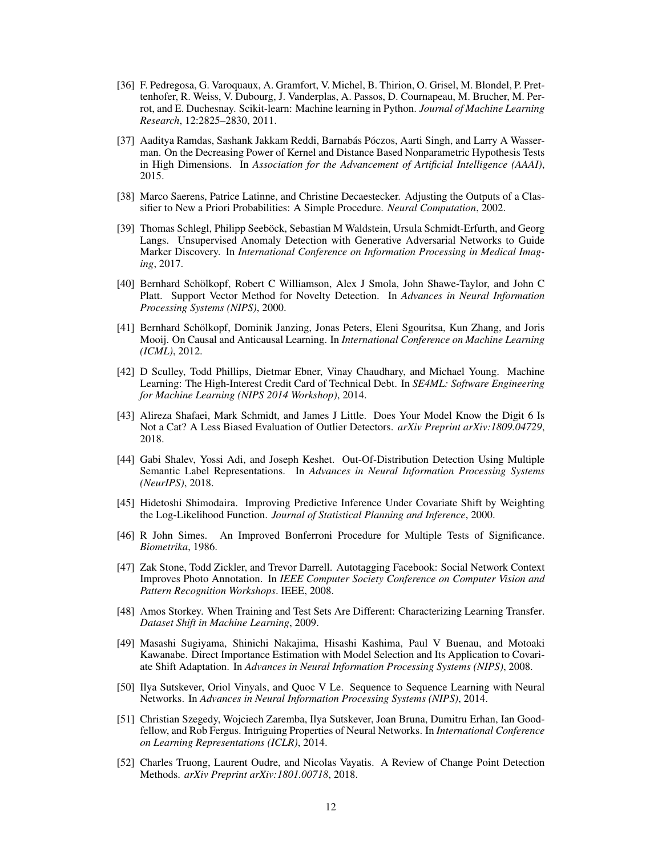- [36] F. Pedregosa, G. Varoquaux, A. Gramfort, V. Michel, B. Thirion, O. Grisel, M. Blondel, P. Prettenhofer, R. Weiss, V. Dubourg, J. Vanderplas, A. Passos, D. Cournapeau, M. Brucher, M. Perrot, and E. Duchesnay. Scikit-learn: Machine learning in Python. *Journal of Machine Learning Research*, 12:2825–2830, 2011.
- [37] Aaditya Ramdas, Sashank Jakkam Reddi, Barnabás Póczos, Aarti Singh, and Larry A Wasserman. On the Decreasing Power of Kernel and Distance Based Nonparametric Hypothesis Tests in High Dimensions. In *Association for the Advancement of Artificial Intelligence (AAAI)*, 2015.
- [38] Marco Saerens, Patrice Latinne, and Christine Decaestecker. Adjusting the Outputs of a Classifier to New a Priori Probabilities: A Simple Procedure. *Neural Computation*, 2002.
- [39] Thomas Schlegl, Philipp Seeböck, Sebastian M Waldstein, Ursula Schmidt-Erfurth, and Georg Langs. Unsupervised Anomaly Detection with Generative Adversarial Networks to Guide Marker Discovery. In *International Conference on Information Processing in Medical Imaging*, 2017.
- [40] Bernhard Schölkopf, Robert C Williamson, Alex J Smola, John Shawe-Taylor, and John C Platt. Support Vector Method for Novelty Detection. In *Advances in Neural Information Processing Systems (NIPS)*, 2000.
- [41] Bernhard Scholkopf, Dominik Janzing, Jonas Peters, Eleni Sgouritsa, Kun Zhang, and Joris ¨ Mooij. On Causal and Anticausal Learning. In *International Conference on Machine Learning (ICML)*, 2012.
- [42] D Sculley, Todd Phillips, Dietmar Ebner, Vinay Chaudhary, and Michael Young. Machine Learning: The High-Interest Credit Card of Technical Debt. In *SE4ML: Software Engineering for Machine Learning (NIPS 2014 Workshop)*, 2014.
- [43] Alireza Shafaei, Mark Schmidt, and James J Little. Does Your Model Know the Digit 6 Is Not a Cat? A Less Biased Evaluation of Outlier Detectors. *arXiv Preprint arXiv:1809.04729*, 2018.
- [44] Gabi Shalev, Yossi Adi, and Joseph Keshet. Out-Of-Distribution Detection Using Multiple Semantic Label Representations. In *Advances in Neural Information Processing Systems (NeurIPS)*, 2018.
- [45] Hidetoshi Shimodaira. Improving Predictive Inference Under Covariate Shift by Weighting the Log-Likelihood Function. *Journal of Statistical Planning and Inference*, 2000.
- [46] R John Simes. An Improved Bonferroni Procedure for Multiple Tests of Significance. *Biometrika*, 1986.
- [47] Zak Stone, Todd Zickler, and Trevor Darrell. Autotagging Facebook: Social Network Context Improves Photo Annotation. In *IEEE Computer Society Conference on Computer Vision and Pattern Recognition Workshops*. IEEE, 2008.
- [48] Amos Storkey. When Training and Test Sets Are Different: Characterizing Learning Transfer. *Dataset Shift in Machine Learning*, 2009.
- [49] Masashi Sugiyama, Shinichi Nakajima, Hisashi Kashima, Paul V Buenau, and Motoaki Kawanabe. Direct Importance Estimation with Model Selection and Its Application to Covariate Shift Adaptation. In *Advances in Neural Information Processing Systems (NIPS)*, 2008.
- [50] Ilya Sutskever, Oriol Vinyals, and Quoc V Le. Sequence to Sequence Learning with Neural Networks. In *Advances in Neural Information Processing Systems (NIPS)*, 2014.
- [51] Christian Szegedy, Wojciech Zaremba, Ilya Sutskever, Joan Bruna, Dumitru Erhan, Ian Goodfellow, and Rob Fergus. Intriguing Properties of Neural Networks. In *International Conference on Learning Representations (ICLR)*, 2014.
- [52] Charles Truong, Laurent Oudre, and Nicolas Vayatis. A Review of Change Point Detection Methods. *arXiv Preprint arXiv:1801.00718*, 2018.